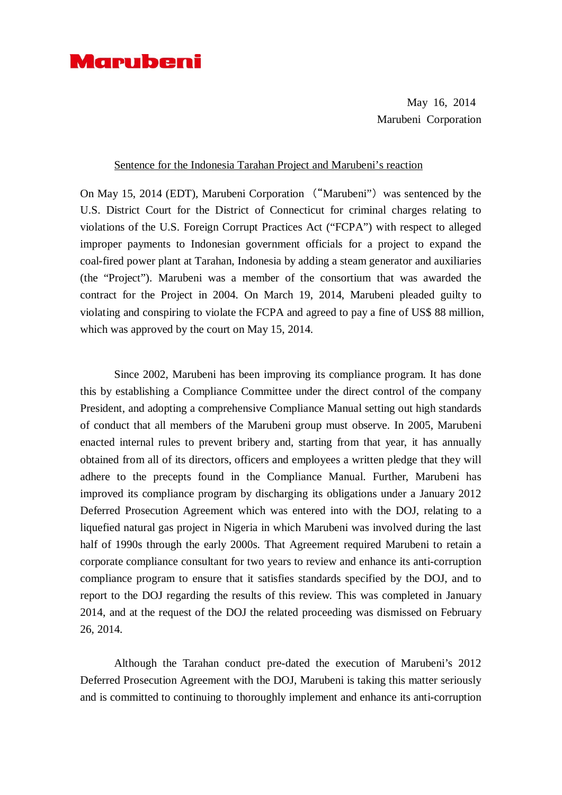## Marubeni

May 16, 2014 Marubeni Corporation

## Sentence for the Indonesia Tarahan Project and Marubeni's reaction

On May 15, 2014 (EDT), Marubeni Corporation ("Marubeni") was sentenced by the U.S. District Court for the District of Connecticut for criminal charges relating to violations of the U.S. Foreign Corrupt Practices Act ("FCPA") with respect to alleged improper payments to Indonesian government officials for a project to expand the coal-fired power plant at Tarahan, Indonesia by adding a steam generator and auxiliaries (the "Project"). Marubeni was a member of the consortium that was awarded the contract for the Project in 2004. On March 19, 2014, Marubeni pleaded guilty to violating and conspiring to violate the FCPA and agreed to pay a fine of US\$ 88 million, which was approved by the court on May 15, 2014.

Since 2002, Marubeni has been improving its compliance program. It has done this by establishing a Compliance Committee under the direct control of the company President, and adopting a comprehensive Compliance Manual setting out high standards of conduct that all members of the Marubeni group must observe. In 2005, Marubeni enacted internal rules to prevent bribery and, starting from that year, it has annually obtained from all of its directors, officers and employees a written pledge that they will adhere to the precepts found in the Compliance Manual. Further, Marubeni has improved its compliance program by discharging its obligations under a January 2012 Deferred Prosecution Agreement which was entered into with the DOJ, relating to a liquefied natural gas project in Nigeria in which Marubeni was involved during the last half of 1990s through the early 2000s. That Agreement required Marubeni to retain a corporate compliance consultant for two years to review and enhance its anti-corruption compliance program to ensure that it satisfies standards specified by the DOJ, and to report to the DOJ regarding the results of this review. This was completed in January 2014, and at the request of the DOJ the related proceeding was dismissed on February 26, 2014.

Although the Tarahan conduct pre-dated the execution of Marubeni's 2012 Deferred Prosecution Agreement with the DOJ, Marubeni is taking this matter seriously and is committed to continuing to thoroughly implement and enhance its anti-corruption